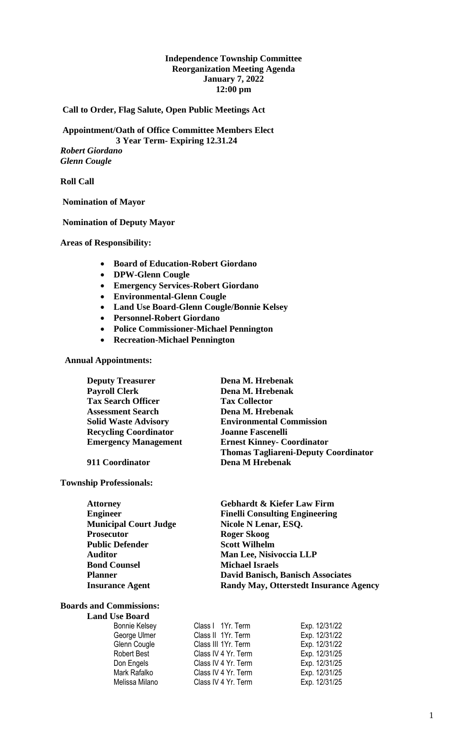## **Independence Township Committee Reorganization Meeting Agenda January 7, 2022 12:00 pm**

**Call to Order, Flag Salute, Open Public Meetings Act**

**Appointment/Oath of Office Committee Members Elect 3 Year Term- Expiring 12.31.24**

*Robert Giordano Glenn Cougle*

### **Roll Call**

#### **Nomination of Mayor**

**Nomination of Deputy Mayor**

**Areas of Responsibility:**

- **Board of Education-Robert Giordano**
- **DPW-Glenn Cougle**
- **Emergency Services-Robert Giordano**
- **Environmental-Glenn Cougle**
- **Land Use Board-Glenn Cougle/Bonnie Kelsey**
- **Personnel-Robert Giordano**
- **Police Commissioner-Michael Pennington**
- **Recreation-Michael Pennington**

### **Annual Appointments:**

**Deputy Treasurer Dena M. Hrebenak Payroll Clerk Dena M. Hrebenak Tax Search Officer Tax Collector Assessment Search Dena M. Hrebenak Recycling Coordinator Joanne Fascenelli**

**Solid Waste Advisory Environmental Commission Emergency Management Ernest Kinney- Coordinator Thomas Tagliareni-Deputy Coordinator 911 Coordinator Dena M Hrebenak**

**Township Professionals:**

**Attorney Gebhardt & Kiefer Law Firm Municipal Court Judge Nicole N Lenar, ESQ. Prosecutor Roger Skoog Public Defender Scott Wilhelm Bond Counsel Michael Israels**

**Engineer Finelli Consulting Engineering Auditor Man Lee, Nisivoccia LLP Planner David Banisch, Banisch Associates Insurance Agent Randy May, Otterstedt Insurance Agency**

**Boards and Commissions:**

**Land Use Board**

| <b>Bonnie Kelsey</b> | Class I 1Yr. Term   | Exp. 12/31/22 |
|----------------------|---------------------|---------------|
| George Ulmer         | Class II 1Yr. Term  | Exp. 12/31/22 |
| Glenn Cougle         | Class III 1Yr. Term | Exp. 12/31/22 |
| Robert Best          | Class IV 4 Yr. Term | Exp. 12/31/25 |
| Don Engels           | Class IV 4 Yr. Term | Exp. 12/31/25 |
| Mark Rafalko         | Class IV 4 Yr. Term | Exp. 12/31/25 |
| Melissa Milano       | Class IV 4 Yr. Term | Exp. 12/31/25 |